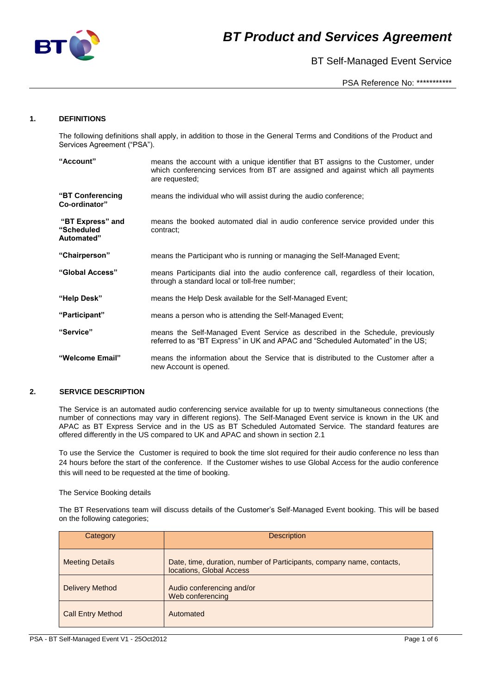

BT Self-Managed Event Service

PSA Reference No: \*\*\*\*\*\*\*\*\*\*\*

## **1. DEFINITIONS**

The following definitions shall apply, in addition to those in the General Terms and Conditions of the Product and Services Agreement ("PSA").

| "Account"                                    | means the account with a unique identifier that BT assigns to the Customer, under<br>which conferencing services from BT are assigned and against which all payments<br>are requested; |  |  |  |
|----------------------------------------------|----------------------------------------------------------------------------------------------------------------------------------------------------------------------------------------|--|--|--|
| "BT Conferencing<br>Co-ordinator"            | means the individual who will assist during the audio conference:                                                                                                                      |  |  |  |
| "BT Express" and<br>"Scheduled<br>Automated" | means the booked automated dial in audio conference service provided under this<br>contract:                                                                                           |  |  |  |
| "Chairperson"                                | means the Participant who is running or managing the Self-Managed Event;                                                                                                               |  |  |  |
| "Global Access"                              | means Participants dial into the audio conference call, regardless of their location,<br>through a standard local or toll-free number;                                                 |  |  |  |
| "Help Desk"                                  | means the Help Desk available for the Self-Managed Event;                                                                                                                              |  |  |  |
| "Participant"                                | means a person who is attending the Self-Managed Event;                                                                                                                                |  |  |  |
| "Service"                                    | means the Self-Managed Event Service as described in the Schedule, previously<br>referred to as "BT Express" in UK and APAC and "Scheduled Automated" in the US;                       |  |  |  |
| "Welcome Email"                              | means the information about the Service that is distributed to the Customer after a<br>new Account is opened.                                                                          |  |  |  |

### **2. SERVICE DESCRIPTION**

The Service is an automated audio conferencing service available for up to twenty simultaneous connections (the number of connections may vary in different regions). The Self-Managed Event service is known in the UK and APAC as BT Express Service and in the US as BT Scheduled Automated Service. The standard features are offered differently in the US compared to UK and APAC and shown in section 2.1

To use the Service the Customer is required to book the time slot required for their audio conference no less than 24 hours before the start of the conference. If the Customer wishes to use Global Access for the audio conference this will need to be requested at the time of booking.

#### The Service Booking details

The BT Reservations team will discuss details of the Customer's Self-Managed Event booking. This will be based on the following categories;

| Category                 | <b>Description</b>                                                                                |
|--------------------------|---------------------------------------------------------------------------------------------------|
| <b>Meeting Details</b>   | Date, time, duration, number of Participants, company name, contacts,<br>locations, Global Access |
| <b>Delivery Method</b>   | Audio conferencing and/or<br>Web conferencing                                                     |
| <b>Call Entry Method</b> | Automated                                                                                         |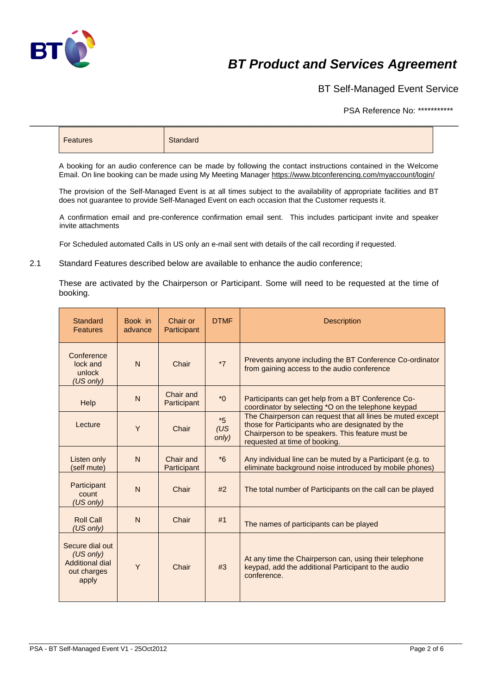

BT Self-Managed Event Service

PSA Reference No: \*\*\*\*\*\*\*\*\*\*\*

| <b>Features</b> | Standard |
|-----------------|----------|
|-----------------|----------|

\_\_\_\_\_\_\_\_\_\_\_\_\_\_\_\_\_\_\_\_\_\_\_\_\_\_\_\_\_\_\_\_\_\_\_\_\_\_\_\_\_\_\_\_\_\_\_\_\_\_\_\_\_\_\_\_\_\_\_\_\_\_\_\_\_\_\_\_\_\_\_\_\_\_\_\_\_\_

A booking for an audio conference can be made by following the contact instructions contained in the Welcome Email. On line booking can be made using My Meeting Manage[r https://www.btconferencing.com/myaccount/login/](https://www.btconferencing.com/myaccount/login/)

The provision of the Self-Managed Event is at all times subject to the availability of appropriate facilities and BT does not guarantee to provide Self-Managed Event on each occasion that the Customer requests it.

A confirmation email and pre-conference confirmation email sent. This includes participant invite and speaker invite attachments

For Scheduled automated Calls in US only an e-mail sent with details of the call recording if requested.

2.1 Standard Features described below are available to enhance the audio conference;

These are activated by the Chairperson or Participant. Some will need to be requested at the time of booking.

| Standard<br><b>Features</b>                                             | Book in<br>advance | Chair or<br>Participant  | <b>DTMF</b>          | <b>Description</b>                                                                                                                                                                                  |
|-------------------------------------------------------------------------|--------------------|--------------------------|----------------------|-----------------------------------------------------------------------------------------------------------------------------------------------------------------------------------------------------|
| Conference<br>lock and<br>unlock<br>(US only)                           | $\overline{N}$     | Chair                    | $*7$                 | Prevents anyone including the BT Conference Co-ordinator<br>from gaining access to the audio conference                                                                                             |
| Help                                                                    | N                  | Chair and<br>Participant | $*$ <sup>0</sup>     | Participants can get help from a BT Conference Co-<br>coordinator by selecting *O on the telephone keypad                                                                                           |
| Lecture                                                                 | Y                  | Chair                    | $*5$<br>(US<br>only) | The Chairperson can request that all lines be muted except<br>those for Participants who are designated by the<br>Chairperson to be speakers. This feature must be<br>requested at time of booking. |
| Listen only<br>(self mute)                                              | N                  | Chair and<br>Participant | $*6$                 | Any individual line can be muted by a Participant (e.g. to<br>eliminate background noise introduced by mobile phones)                                                                               |
| Participant<br>count<br>(US only)                                       | $\overline{N}$     | Chair                    | #2                   | The total number of Participants on the call can be played                                                                                                                                          |
| <b>Roll Call</b><br>(US only)                                           | $\overline{N}$     | Chair                    | #1                   | The names of participants can be played                                                                                                                                                             |
| Secure dial out<br>(US only)<br>Additional dial<br>out charges<br>apply | Y                  | Chair                    | #3                   | At any time the Chairperson can, using their telephone<br>keypad, add the additional Participant to the audio<br>conference.                                                                        |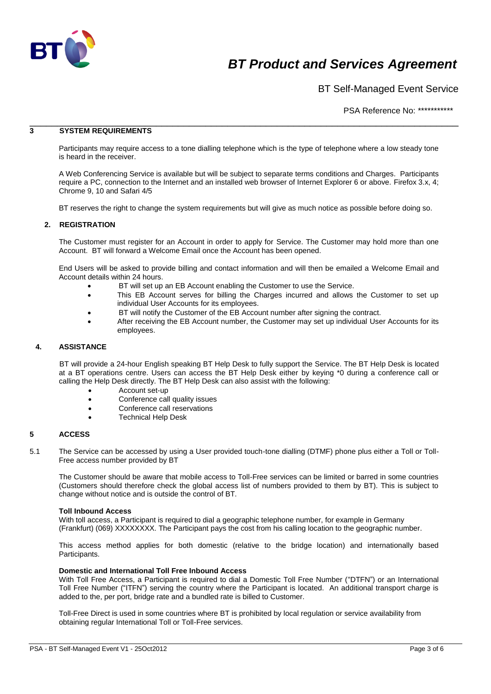

BT Self-Managed Event Service

PSA Reference No: \*\*\*\*\*\*\*\*\*\*\*

### \_\_\_\_\_\_\_\_\_\_\_\_\_\_\_\_\_\_\_\_\_\_\_\_\_\_\_\_\_\_\_\_\_\_\_\_\_\_\_\_\_\_\_\_\_\_\_\_\_\_\_\_\_\_\_\_\_\_\_\_\_\_\_\_\_\_\_\_\_\_\_\_\_\_\_\_\_\_ **3 SYSTEM REQUIREMENTS**

Participants may require access to a tone dialling telephone which is the type of telephone where a low steady tone is heard in the receiver.

A Web Conferencing Service is available but will be subject to separate terms conditions and Charges. Participants require a PC, connection to the Internet and an installed web browser of Internet Explorer 6 or above. Firefox 3.x, 4; Chrome 9, 10 and Safari 4/5

BT reserves the right to change the system requirements but will give as much notice as possible before doing so.

### **2. REGISTRATION**

The Customer must register for an Account in order to apply for Service. The Customer may hold more than one Account. BT will forward a Welcome Email once the Account has been opened.

End Users will be asked to provide billing and contact information and will then be emailed a Welcome Email and Account details within 24 hours.

- BT will set up an EB Account enabling the Customer to use the Service.
- This EB Account serves for billing the Charges incurred and allows the Customer to set up individual User Accounts for its employees.
- BT will notify the Customer of the EB Account number after signing the contract.
- After receiving the EB Account number, the Customer may set up individual User Accounts for its employees.

### **4. ASSISTANCE**

BT will provide a 24-hour English speaking BT Help Desk to fully support the Service. The BT Help Desk is located at a BT operations centre. Users can access the BT Help Desk either by keying \*0 during a conference call or calling the Help Desk directly. The BT Help Desk can also assist with the following:

- Account set-up
- Conference call quality issues
- Conference call reservations
- Technical Help Desk

#### **5 ACCESS**

5.1 The Service can be accessed by using a User provided touch-tone dialling (DTMF) phone plus either a Toll or Toll-Free access number provided by BT

The Customer should be aware that mobile access to Toll-Free services can be limited or barred in some countries (Customers should therefore check the global access list of numbers provided to them by BT). This is subject to change without notice and is outside the control of BT.

#### **Toll Inbound Access**

With toll access, a Participant is required to dial a geographic telephone number, for example in Germany (Frankfurt) (069) XXXXXXXX. The Participant pays the cost from his calling location to the geographic number.

This access method applies for both domestic (relative to the bridge location) and internationally based Participants.

#### **Domestic and International Toll Free Inbound Access**

With Toll Free Access, a Participant is required to dial a Domestic Toll Free Number ("DTFN") or an International Toll Free Number ("ITFN") serving the country where the Participant is located. An additional transport charge is added to the, per port, bridge rate and a bundled rate is billed to Customer.

Toll-Free Direct is used in some countries where BT is prohibited by local regulation or service availability from obtaining regular International Toll or Toll-Free services.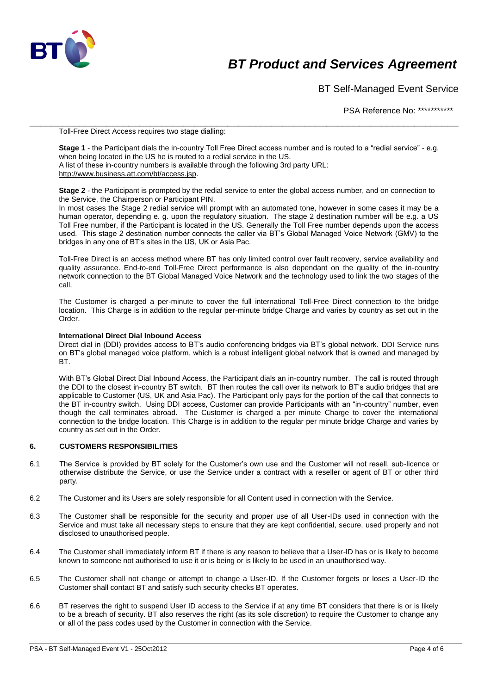

BT Self-Managed Event Service

PSA Reference No: \*\*\*\*\*\*\*\*\*\*\*

Toll-Free Direct Access requires two stage dialling:

**Stage 1** - the Participant dials the in-country Toll Free Direct access number and is routed to a "redial service" - e.g. when being located in the US he is routed to a redial service in the US. A list of these in-country numbers is available through the following 3rd party URL: [http://www.business.att.com/bt/access.jsp.](http://www.business.att.com/bt/access.jsp)

\_\_\_\_\_\_\_\_\_\_\_\_\_\_\_\_\_\_\_\_\_\_\_\_\_\_\_\_\_\_\_\_\_\_\_\_\_\_\_\_\_\_\_\_\_\_\_\_\_\_\_\_\_\_\_\_\_\_\_\_\_\_\_\_\_\_\_\_\_\_\_\_\_\_\_\_\_\_

**Stage 2** - the Participant is prompted by the redial service to enter the global access number, and on connection to the Service, the Chairperson or Participant PIN.

In most cases the Stage 2 redial service will prompt with an automated tone, however in some cases it may be a human operator, depending e. g. upon the regulatory situation. The stage 2 destination number will be e.g. a US Toll Free number, if the Participant is located in the US. Generally the Toll Free number depends upon the access used. This stage 2 destination number connects the caller via BT's Global Managed Voice Network (GMV) to the bridges in any one of BT's sites in the US, UK or Asia Pac.

Toll-Free Direct is an access method where BT has only limited control over fault recovery, service availability and quality assurance. End-to-end Toll-Free Direct performance is also dependant on the quality of the in-country network connection to the BT Global Managed Voice Network and the technology used to link the two stages of the call.

The Customer is charged a per-minute to cover the full international Toll-Free Direct connection to the bridge location. This Charge is in addition to the regular per-minute bridge Charge and varies by country as set out in the Order.

#### **International Direct Dial Inbound Access**

Direct dial in (DDI) provides access to BT's audio conferencing bridges via BT's global network. DDI Service runs on BT's global managed voice platform, which is a robust intelligent global network that is owned and managed by BT.

With BT's Global Direct Dial Inbound Access, the Participant dials an in-country number. The call is routed through the DDI to the closest in-country BT switch. BT then routes the call over its network to BT's audio bridges that are applicable to Customer (US, UK and Asia Pac). The Participant only pays for the portion of the call that connects to the BT in-country switch. Using DDI access, Customer can provide Participants with an "in-country" number, even though the call terminates abroad. The Customer is charged a per minute Charge to cover the international connection to the bridge location. This Charge is in addition to the regular per minute bridge Charge and varies by country as set out in the Order.

#### **6. CUSTOMERS RESPONSIBILITIES**

- 6.1 The Service is provided by BT solely for the Customer's own use and the Customer will not resell, sub-licence or otherwise distribute the Service, or use the Service under a contract with a reseller or agent of BT or other third party.
- 6.2 The Customer and its Users are solely responsible for all Content used in connection with the Service.
- 6.3 The Customer shall be responsible for the security and proper use of all User-IDs used in connection with the Service and must take all necessary steps to ensure that they are kept confidential, secure, used properly and not disclosed to unauthorised people.
- 6.4 The Customer shall immediately inform BT if there is any reason to believe that a User-ID has or is likely to become known to someone not authorised to use it or is being or is likely to be used in an unauthorised way.
- 6.5 The Customer shall not change or attempt to change a User-ID. If the Customer forgets or loses a User-ID the Customer shall contact BT and satisfy such security checks BT operates.
- 6.6 BT reserves the right to suspend User ID access to the Service if at any time BT considers that there is or is likely to be a breach of security. BT also reserves the right (as its sole discretion) to require the Customer to change any or all of the pass codes used by the Customer in connection with the Service.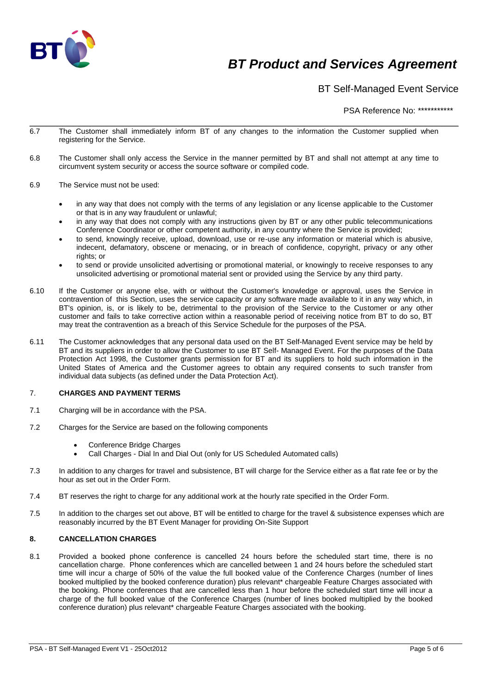

BT Self-Managed Event Service

PSA Reference No: \*\*\*\*\*\*\*\*\*\*\*

- \_\_\_\_\_\_\_\_\_\_\_\_\_\_\_\_\_\_\_\_\_\_\_\_\_\_\_\_\_\_\_\_\_\_\_\_\_\_\_\_\_\_\_\_\_\_\_\_\_\_\_\_\_\_\_\_\_\_\_\_\_\_\_\_\_\_\_\_\_\_\_\_\_\_\_\_\_\_ 6.7 The Customer shall immediately inform BT of any changes to the information the Customer supplied when registering for the Service.
- 6.8 The Customer shall only access the Service in the manner permitted by BT and shall not attempt at any time to circumvent system security or access the source software or compiled code.
- 6.9 The Service must not be used:
	- in any way that does not comply with the terms of any legislation or any license applicable to the Customer or that is in any way fraudulent or unlawful;
	- in any way that does not comply with any instructions given by BT or any other public telecommunications Conference Coordinator or other competent authority, in any country where the Service is provided;
	- to send, knowingly receive, upload, download, use or re-use any information or material which is abusive, indecent, defamatory, obscene or menacing, or in breach of confidence, copyright, privacy or any other rights; or
	- to send or provide unsolicited advertising or promotional material, or knowingly to receive responses to any unsolicited advertising or promotional material sent or provided using the Service by any third party.
- 6.10 If the Customer or anyone else, with or without the Customer's knowledge or approval, uses the Service in contravention of this Section, uses the service capacity or any software made available to it in any way which, in BT's opinion, is, or is likely to be, detrimental to the provision of the Service to the Customer or any other customer and fails to take corrective action within a reasonable period of receiving notice from BT to do so, BT may treat the contravention as a breach of this Service Schedule for the purposes of the PSA.
- 6.11 The Customer acknowledges that any personal data used on the BT Self-Managed Event service may be held by BT and its suppliers in order to allow the Customer to use BT Self- Managed Event. For the purposes of the Data Protection Act 1998, the Customer grants permission for BT and its suppliers to hold such information in the United States of America and the Customer agrees to obtain any required consents to such transfer from individual data subjects (as defined under the Data Protection Act).

### 7. **CHARGES AND PAYMENT TERMS**

- 7.1 Charging will be in accordance with the PSA.
- 7.2 Charges for the Service are based on the following components
	- Conference Bridge Charges
	- Call Charges Dial In and Dial Out (only for US Scheduled Automated calls)
- 7.3 In addition to any charges for travel and subsistence, BT will charge for the Service either as a flat rate fee or by the hour as set out in the Order Form.
- 7.4 BT reserves the right to charge for any additional work at the hourly rate specified in the Order Form.
- 7.5 In addition to the charges set out above, BT will be entitled to charge for the travel & subsistence expenses which are reasonably incurred by the BT Event Manager for providing On-Site Support

### **8. CANCELLATION CHARGES**

8.1 Provided a booked phone conference is cancelled 24 hours before the scheduled start time, there is no cancellation charge. Phone conferences which are cancelled between 1 and 24 hours before the scheduled start time will incur a charge of 50% of the value the full booked value of the Conference Charges (number of lines booked multiplied by the booked conference duration) plus relevant\* chargeable Feature Charges associated with the booking. Phone conferences that are cancelled less than 1 hour before the scheduled start time will incur a charge of the full booked value of the Conference Charges (number of lines booked multiplied by the booked conference duration) plus relevant\* chargeable Feature Charges associated with the booki*n*g.